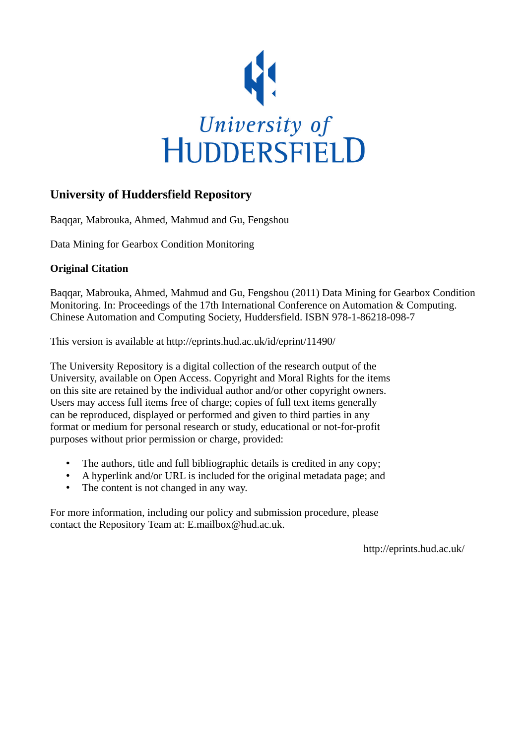

## **University of Huddersfield Repository**

Baqqar, Mabrouka, Ahmed, Mahmud and Gu, Fengshou

Data Mining for Gearbox Condition Monitoring

### **Original Citation**

Baqqar, Mabrouka, Ahmed, Mahmud and Gu, Fengshou (2011) Data Mining for Gearbox Condition Monitoring. In: Proceedings of the 17th International Conference on Automation & Computing. Chinese Automation and Computing Society, Huddersfield. ISBN 978-1-86218-098-7

This version is available at http://eprints.hud.ac.uk/id/eprint/11490/

The University Repository is a digital collection of the research output of the University, available on Open Access. Copyright and Moral Rights for the items on this site are retained by the individual author and/or other copyright owners. Users may access full items free of charge; copies of full text items generally can be reproduced, displayed or performed and given to third parties in any format or medium for personal research or study, educational or not-for-profit purposes without prior permission or charge, provided:

- The authors, title and full bibliographic details is credited in any copy;
- A hyperlink and/or URL is included for the original metadata page; and
- The content is not changed in any way.

For more information, including our policy and submission procedure, please contact the Repository Team at: E.mailbox@hud.ac.uk.

http://eprints.hud.ac.uk/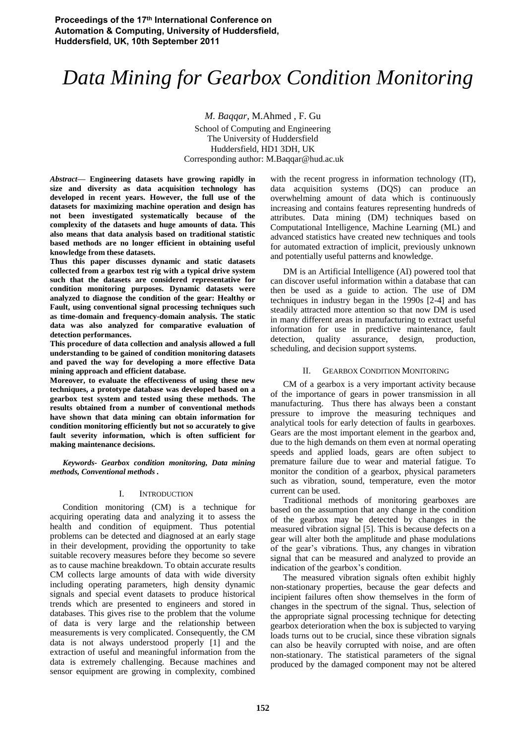# *Data Mining for Gearbox Condition Monitoring*

*M. Baqqar*, M.Ahmed , F. Gu School of Computing and Engineering The University of Huddersfield Huddersfield, HD1 3DH, UK Corresponding author: M.Baqqar@hud.ac.uk

*Abstract***— Engineering datasets have growing rapidly in size and diversity as data acquisition technology has developed in recent years. However, the full use of the datasets for maximizing machine operation and design has not been investigated systematically because of the complexity of the datasets and huge amounts of data. This also means that data analysis based on traditional statistic based methods are no longer efficient in obtaining useful knowledge from these datasets.** 

**Thus this paper discusses dynamic and static datasets collected from a gearbox test rig with a typical drive system such that the datasets are considered representative for condition monitoring purposes. Dynamic datasets were analyzed to diagnose the condition of the gear: Healthy or Fault, using conventional signal processing techniques such as time-domain and frequency-domain analysis. The static data was also analyzed for comparative evaluation of detection performances.** 

**This procedure of data collection and analysis allowed a full understanding to be gained of condition monitoring datasets and paved the way for developing a more effective Data mining approach and efficient database.** 

**Moreover, to evaluate the effectiveness of using these new techniques, a prototype database was developed based on a gearbox test system and tested using these methods. The results obtained from a number of conventional methods have shown that data mining can obtain information for condition monitoring efficiently but not so accurately to give fault severity information, which is often sufficient for making maintenance decisions.** 

*Keywords- Gearbox condition monitoring, Data mining methods, Conventional methods .* 

#### I. INTRODUCTION

Condition monitoring (CM) is a technique for acquiring operating data and analyzing it to assess the health and condition of equipment. Thus potential problems can be detected and diagnosed at an early stage in their development, providing the opportunity to take suitable recovery measures before they become so severe as to cause machine breakdown. To obtain accurate results CM collects large amounts of data with wide diversity including operating parameters, high density dynamic signals and special event datasets to produce historical trends which are presented to engineers and stored in databases. This gives rise to the problem that the volume of data is very large and the relationship between measurements is very complicated. Consequently, the CM data is not always understood properly [1] and the extraction of useful and meaningful information from the data is extremely challenging. Because machines and sensor equipment are growing in complexity, combined

with the recent progress in information technology (IT), data acquisition systems (DQS) can produce an overwhelming amount of data which is continuously increasing and contains features representing hundreds of attributes. Data mining (DM) techniques based on Computational Intelligence, Machine Learning (ML) and advanced statistics have created new techniques and tools for automated extraction of implicit, previously unknown and potentially useful patterns and knowledge.

DM is an Artificial Intelligence (AI) powered tool that can discover useful information within a database that can then be used as a guide to action. The use of DM techniques in industry began in the 1990s [2-4] and has steadily attracted more attention so that now DM is used in many different areas in manufacturing to extract useful information for use in predictive maintenance, fault detection, quality assurance, design, production, scheduling, and decision support systems.

#### II. GEARBOX CONDITION MONITORING

CM of a gearbox is a very important activity because of the importance of gears in power transmission in all manufacturing. Thus there has always been a constant pressure to improve the measuring techniques and analytical tools for early detection of faults in gearboxes. Gears are the most important element in the gearbox and, due to the high demands on them even at normal operating speeds and applied loads, gears are often subject to premature failure due to wear and material fatigue. To monitor the condition of a gearbox, physical parameters such as vibration, sound, temperature, even the motor current can be used.

Traditional methods of monitoring gearboxes are based on the assumption that any change in the condition of the gearbox may be detected by changes in the measured vibration signal [5]. This is because defects on a gear will alter both the amplitude and phase modulations of the gear's vibrations. Thus, any changes in vibration signal that can be measured and analyzed to provide an indication of the gearbox's condition.

The measured vibration signals often exhibit highly non-stationary properties, because the gear defects and incipient failures often show themselves in the form of changes in the spectrum of the signal. Thus, selection of the appropriate signal processing technique for detecting gearbox deterioration when the box is subjected to varying loads turns out to be crucial, since these vibration signals can also be heavily corrupted with noise, and are often non-stationary. The statistical parameters of the signal produced by the damaged component may not be altered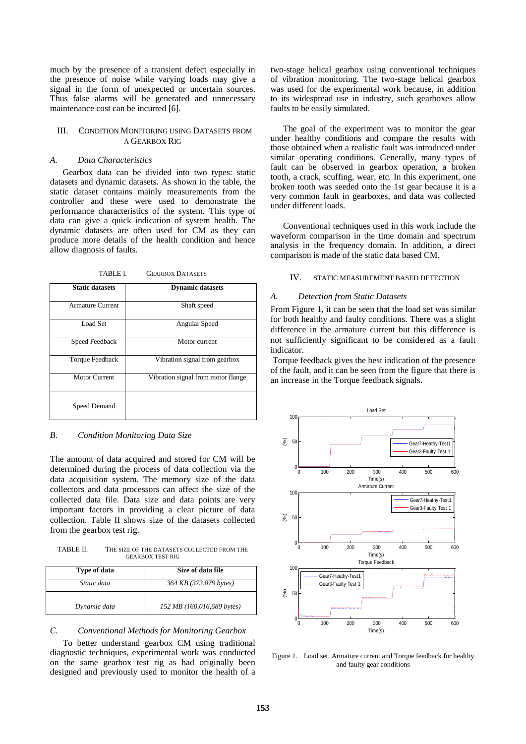much by the presence of a transient defect especially in the presence of noise while varying loads may give a signal in the form of unexpected or uncertain sources. Thus false alarms will be generated and unnecessary maintenance cost can be incurred [6].

#### III. CONDITION MONITORING USING DATASETS FROM A GEARBOX RIG

#### *A. Data Characteristics*

Gearbox data can be divided into two types: static datasets and dynamic datasets. As shown in the table, the static dataset contains mainly measurements from the controller and these were used to demonstrate the performance characteristics of the system. This type of data can give a quick indication of system health. The dynamic datasets are often used for CM as they can produce more details of the health condition and hence allow diagnosis of faults.

TABLE I. GEARBOX DATASETS

| <b>Static datasets</b>  | <b>Dynamic datasets</b>            |
|-------------------------|------------------------------------|
| <b>Armature Current</b> | Shaft speed                        |
| Load Set                | Angular Speed                      |
| Speed Feedback          | Motor current                      |
| Torque Feedback         | Vibration signal from gearbox      |
| <b>Motor Current</b>    | Vibration signal from motor flange |
| Speed Demand            |                                    |

#### *B. Condition Monitoring Data Size*

The amount of data acquired and stored for CM will be determined during the process of data collection via the data acquisition system. The memory size of the data collectors and data processors can affect the size of the collected data file. Data size and data points are very important factors in providing a clear picture of data collection. Table II shows size of the datasets collected from the gearbox test rig.

TABLE II. THE SIZE OF THE DATASETS COLLECTED FROM THE GEARBOX TEST RIG

| Type of data | Size of data file          |
|--------------|----------------------------|
| Static data  | 364 KB (373,079 bytes)     |
| Dynamic data | 152 MB (160,016,680 bytes) |

#### *C. Conventional Methods for Monitoring Gearbox*

To better understand gearbox CM using traditional diagnostic techniques, experimental work was conducted on the same gearbox test rig as had originally been designed and previously used to monitor the health of a

two-stage helical gearbox using conventional techniques of vibration monitoring. The two-stage helical gearbox was used for the experimental work because, in addition to its widespread use in industry, such gearboxes allow faults to be easily simulated.

The goal of the experiment was to monitor the gear under healthy conditions and compare the results with those obtained when a realistic fault was introduced under similar operating conditions. Generally, many types of fault can be observed in gearbox operation, a broken tooth, a crack, scuffing, wear, etc. In this experiment, one broken tooth was seeded onto the 1st gear because it is a very common fault in gearboxes, and data was collected under different loads.

Conventional techniques used in this work include the waveform comparison in the time domain and spectrum analysis in the frequency domain. In addition, a direct comparison is made of the static data based CM.

#### IV. STATIC MEASUREMENT BASED DETECTION

#### *A. Detection from Static Datasets*

From Figure 1, it can be seen that the load set was similar for both healthy and faulty conditions. There was a slight difference in the armature current but this difference is not sufficiently significant to be considered as a fault indicator.

 Torque feedback gives the best indication of the presence of the fault, and it can be seen from the figure that there is an increase in the Torque feedback signals.



Figure 1. Load set, Armature current and Torque feedback for healthy and faulty gear conditions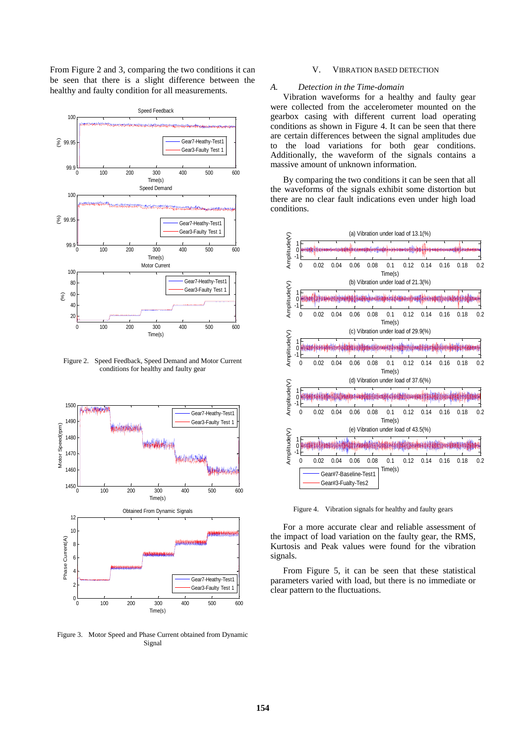From Figure 2 and 3, comparing the two conditions it can be seen that there is a slight difference between the healthy and faulty condition for all measurements.



Figure 2. Speed Feedback, Speed Demand and Motor Current conditions for healthy and faulty gear



Figure 3. Motor Speed and Phase Current obtained from Dynamic Signal

#### V. VIBRATION BASED DETECTION

#### *A. Detection in the Time-domain*

Vibration waveforms for a healthy and faulty gear were collected from the accelerometer mounted on the gearbox casing with different current load operating conditions as shown in Figure 4. It can be seen that there are certain differences between the signal amplitudes due to the load variations for both gear conditions. Additionally, the waveform of the signals contains a massive amount of unknown information.

By comparing the two conditions it can be seen that all the waveforms of the signals exhibit some distortion but there are no clear fault indications even under high load conditions.



Figure 4. Vibration signals for healthy and faulty gears

For a more accurate clear and reliable assessment of the impact of load variation on the faulty gear, the RMS, Kurtosis and Peak values were found for the vibration signals.

From Figure 5, it can be seen that these statistical parameters varied with load, but there is no immediate or clear pattern to the fluctuations.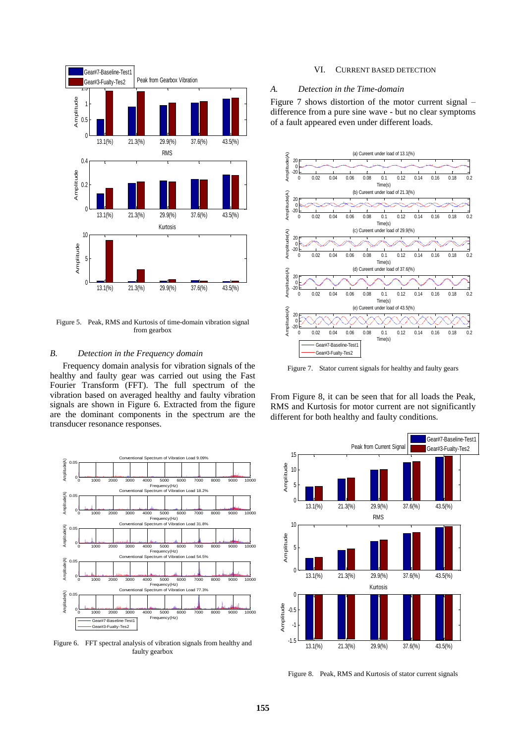

Figure 5. Peak, RMS and Kurtosis of time-domain vibration signal from gearbox

#### *B. Detection in the Frequency domain*

Frequency domain analysis for vibration signals of the healthy and faulty gear was carried out using the Fast Fourier Transform (FFT). The full spectrum of the vibration based on averaged healthy and faulty vibration signals are shown in Figure 6. Extracted from the figure are the dominant components in the spectrum are the transducer resonance responses.



Figure 6. FFT spectral analysis of vibration signals from healthy and faulty gearbox

#### VI. CURRENT BASED DETECTION

#### *A. Detection in the Time-domain*

Figure 7 shows distortion of the motor current signal – difference from a pure sine wave - but no clear symptoms of a fault appeared even under different loads.



Figure 7. Stator current signals for healthy and faulty gears

From Figure 8, it can be seen that for all loads the Peak, RMS and Kurtosis for motor current are not significantly different for both healthy and faulty conditions.



Figure 8. Peak, RMS and Kurtosis of stator current signals